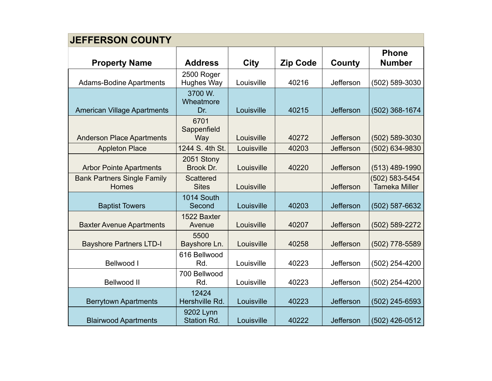| <b>JEFFERSON COUNTY</b>                            |                                  |             |                 |           |                                        |  |
|----------------------------------------------------|----------------------------------|-------------|-----------------|-----------|----------------------------------------|--|
| <b>Property Name</b>                               | <b>Address</b>                   | <b>City</b> | <b>Zip Code</b> | County    | <b>Phone</b><br><b>Number</b>          |  |
| <b>Adams-Bodine Apartments</b>                     | 2500 Roger<br><b>Hughes Way</b>  | Louisville  | 40216           | Jefferson | (502) 589-3030                         |  |
| <b>American Village Apartments</b>                 | 3700 W.<br>Wheatmore<br>Dr.      | Louisville  | 40215           | Jefferson | (502) 368-1674                         |  |
| <b>Anderson Place Apartments</b>                   | 6701<br>Sappenfield<br>Way       | Louisville  | 40272           | Jefferson | (502) 589-3030                         |  |
| <b>Appleton Place</b>                              | 1244 S. 4th St.                  | Louisville  | 40203           | Jefferson | (502) 634-9830                         |  |
| <b>Arbor Pointe Apartments</b>                     | 2051 Stony<br>Brook Dr.          | Louisville  | 40220           | Jefferson | (513) 489-1990                         |  |
| <b>Bank Partners Single Family</b><br><b>Homes</b> | <b>Scattered</b><br><b>Sites</b> | Louisville  |                 | Jefferson | (502) 583-5454<br><b>Tameka Miller</b> |  |
| <b>Baptist Towers</b>                              | 1014 South<br>Second             | Louisville  | 40203           | Jefferson | (502) 587-6632                         |  |
| <b>Baxter Avenue Apartments</b>                    | 1522 Baxter<br>Avenue            | Louisville  | 40207           | Jefferson | (502) 589-2272                         |  |
| <b>Bayshore Partners LTD-I</b>                     | 5500<br>Bayshore Ln.             | Louisville  | 40258           | Jefferson | (502) 778-5589                         |  |
| Bellwood I                                         | 616 Bellwood<br>Rd.              | Louisville  | 40223           | Jefferson | (502) 254-4200                         |  |
| <b>Bellwood II</b>                                 | 700 Bellwood<br>Rd.              | Louisville  | 40223           | Jefferson | (502) 254-4200                         |  |
| <b>Berrytown Apartments</b>                        | 12424<br>Hershville Rd.          | Louisville  | 40223           | Jefferson | (502) 245-6593                         |  |
| <b>Blairwood Apartments</b>                        | 9202 Lynn<br>Station Rd.         | Louisville  | 40222           | Jefferson | (502) 426-0512                         |  |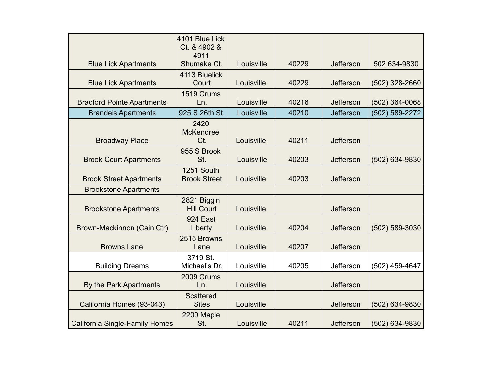|                                       | 4101 Blue Lick<br>Ct. & 4902 &<br>4911 |            |       |           |                  |
|---------------------------------------|----------------------------------------|------------|-------|-----------|------------------|
| <b>Blue Lick Apartments</b>           | Shumake Ct.                            | Louisville | 40229 | Jefferson | 502 634-9830     |
| <b>Blue Lick Apartments</b>           | 4113 Bluelick<br>Court                 | Louisville | 40229 | Jefferson | (502) 328-2660   |
| <b>Bradford Pointe Apartments</b>     | 1519 Crums<br>Ln.                      | Louisville | 40216 | Jefferson | $(502)$ 364-0068 |
| <b>Brandeis Apartments</b>            | 925 S 26th St.                         | Louisville | 40210 | Jefferson | (502) 589-2272   |
| <b>Broadway Place</b>                 | 2420<br><b>McKendree</b><br>Ct.        | Louisville | 40211 | Jefferson |                  |
| <b>Brook Court Apartments</b>         | 955 S Brook<br>St.                     | Louisville | 40203 | Jefferson | (502) 634-9830   |
| <b>Brook Street Apartments</b>        | 1251 South<br><b>Brook Street</b>      | Louisville | 40203 | Jefferson |                  |
| <b>Brookstone Apartments</b>          |                                        |            |       |           |                  |
| <b>Brookstone Apartments</b>          | 2821 Biggin<br><b>Hill Court</b>       | Louisville |       | Jefferson |                  |
| Brown-Mackinnon (Cain Ctr)            | 924 East<br>Liberty                    | Louisville | 40204 | Jefferson | (502) 589-3030   |
| <b>Browns Lane</b>                    | 2515 Browns<br>Lane                    | Louisville | 40207 | Jefferson |                  |
| <b>Building Dreams</b>                | 3719 St.<br>Michael's Dr.              | Louisville | 40205 | Jefferson | (502) 459-4647   |
| By the Park Apartments                | 2009 Crums<br>Ln.                      | Louisville |       | Jefferson |                  |
| California Homes (93-043)             | <b>Scattered</b><br><b>Sites</b>       | Louisville |       | Jefferson | (502) 634-9830   |
| <b>California Single-Family Homes</b> | 2200 Maple<br>St.                      | Louisville | 40211 | Jefferson | (502) 634-9830   |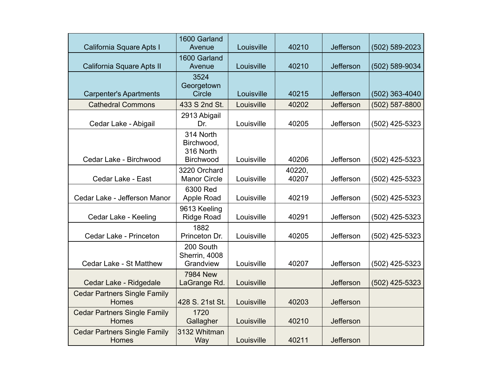| California Square Apts I                     | 1600 Garland<br>Avenue                            | Louisville | 40210           | Jefferson        | (502) 589-2023   |
|----------------------------------------------|---------------------------------------------------|------------|-----------------|------------------|------------------|
| California Square Apts II                    | 1600 Garland<br>Avenue                            | Louisville | 40210           | Jefferson        | (502) 589-9034   |
| <b>Carpenter's Apartments</b>                | 3524<br>Georgetown<br><b>Circle</b>               | Louisville | 40215           | <b>Jefferson</b> | (502) 363-4040   |
| <b>Cathedral Commons</b>                     | 433 S 2nd St.                                     | Louisville | 40202           | <b>Jefferson</b> | (502) 587-8800   |
| Cedar Lake - Abigail                         | 2913 Abigail<br>Dr.                               | Louisville | 40205           | Jefferson        | (502) 425-5323   |
| Cedar Lake - Birchwood                       | 314 North<br>Birchwood,<br>316 North<br>Birchwood | Louisville | 40206           | Jefferson        | (502) 425-5323   |
| Cedar Lake - East                            | 3220 Orchard<br><b>Manor Circle</b>               | Louisville | 40220,<br>40207 | Jefferson        | $(502)$ 425-5323 |
| Cedar Lake - Jefferson Manor                 | 6300 Red<br>Apple Road                            | Louisville | 40219           | Jefferson        | $(502)$ 425-5323 |
| Cedar Lake - Keeling                         | 9613 Keeling<br><b>Ridge Road</b>                 | Louisville | 40291           | Jefferson        | (502) 425-5323   |
| Cedar Lake - Princeton                       | 1882<br>Princeton Dr.                             | Louisville | 40205           | Jefferson        | (502) 425-5323   |
| Cedar Lake - St Matthew                      | 200 South<br>Sherrin, 4008<br>Grandview           | Louisville | 40207           | Jefferson        | (502) 425-5323   |
| Cedar Lake - Ridgedale                       | <b>7984 New</b><br>LaGrange Rd.                   | Louisville |                 | Jefferson        | $(502)$ 425-5323 |
| <b>Cedar Partners Single Family</b><br>Homes | 428 S. 21st St.                                   | Louisville | 40203           | Jefferson        |                  |
| <b>Cedar Partners Single Family</b><br>Homes | 1720<br>Gallagher                                 | Louisville | 40210           | Jefferson        |                  |
| <b>Cedar Partners Single Family</b><br>Homes | 3132 Whitman<br>Way                               | Louisville | 40211           | Jefferson        |                  |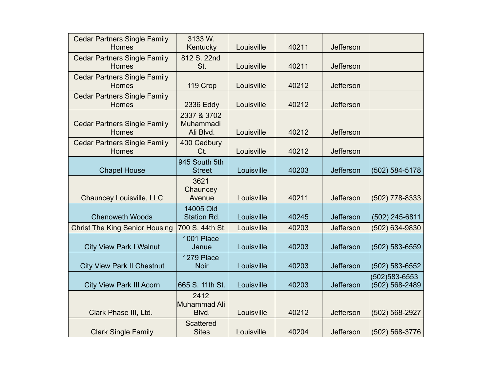| <b>Cedar Partners Single Family</b><br><b>Homes</b> | 3133 W.<br>Kentucky                   | Louisville | 40211 | Jefferson |                                 |
|-----------------------------------------------------|---------------------------------------|------------|-------|-----------|---------------------------------|
| <b>Cedar Partners Single Family</b><br>Homes        | 812 S. 22nd<br>St.                    | Louisville | 40211 | Jefferson |                                 |
| <b>Cedar Partners Single Family</b><br><b>Homes</b> | 119 Crop                              | Louisville | 40212 | Jefferson |                                 |
| <b>Cedar Partners Single Family</b><br><b>Homes</b> | 2336 Eddy                             | Louisville | 40212 | Jefferson |                                 |
| <b>Cedar Partners Single Family</b><br>Homes        | 2337 & 3702<br>Muhammadi<br>Ali Blvd. | Louisville | 40212 | Jefferson |                                 |
| <b>Cedar Partners Single Family</b><br><b>Homes</b> | 400 Cadbury<br>Ct.                    | Louisville | 40212 | Jefferson |                                 |
| <b>Chapel House</b>                                 | 945 South 5th<br><b>Street</b>        | Louisville | 40203 | Jefferson | (502) 584-5178                  |
| Chauncey Louisville, LLC                            | 3621<br>Chauncey<br>Avenue            | Louisville | 40211 | Jefferson | (502) 778-8333                  |
| <b>Chenoweth Woods</b>                              | 14005 Old<br>Station Rd.              | Louisville | 40245 | Jefferson | (502) 245-6811                  |
| <b>Christ The King Senior Housing</b>               | 700 S. 44th St.                       | Louisville | 40203 | Jefferson | (502) 634-9830                  |
| <b>City View Park I Walnut</b>                      | 1001 Place<br>Janue                   | Louisville | 40203 | Jefferson | (502) 583-6559                  |
| <b>City View Park II Chestnut</b>                   | 1279 Place<br><b>Noir</b>             | Louisville | 40203 | Jefferson | (502) 583-6552                  |
| <b>City View Park III Acorn</b>                     | 665 S. 11th St.                       | Louisville | 40203 | Jefferson | (502)583-6553<br>(502) 568-2489 |
| Clark Phase III, Ltd.                               | 2412<br>Muhammad Ali<br>Blvd.         | Louisville | 40212 | Jefferson | (502) 568-2927                  |
| <b>Clark Single Family</b>                          | <b>Scattered</b><br><b>Sites</b>      | Louisville | 40204 | Jefferson | $(502) 568 - 3776$              |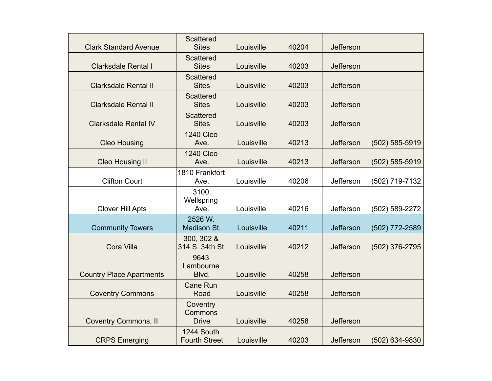| <b>Clark Standard Avenue</b>    | <b>Scattered</b><br><b>Sites</b>    | Louisville | 40204 | Jefferson |                |
|---------------------------------|-------------------------------------|------------|-------|-----------|----------------|
| <b>Clarksdale Rental I</b>      | <b>Scattered</b><br><b>Sites</b>    | Louisville | 40203 | Jefferson |                |
| <b>Clarksdale Rental II</b>     | <b>Scattered</b><br><b>Sites</b>    | Louisville | 40203 | Jefferson |                |
| <b>Clarksdale Rental II</b>     | <b>Scattered</b><br><b>Sites</b>    | Louisville | 40203 | Jefferson |                |
| <b>Clarksdale Rental IV</b>     | <b>Scattered</b><br><b>Sites</b>    | Louisville | 40203 | Jefferson |                |
| <b>Cleo Housing</b>             | <b>1240 Cleo</b><br>Ave.            | Louisville | 40213 | Jefferson | (502) 585-5919 |
| <b>Cleo Housing II</b>          | <b>1240 Cleo</b><br>Ave.            | Louisville | 40213 | Jefferson | (502) 585-5919 |
| <b>Clifton Court</b>            | 1810 Frankfort<br>Ave.              | Louisville | 40206 | Jefferson | (502) 719-7132 |
| <b>Clover Hill Apts</b>         | 3100<br>Wellspring<br>Ave.          | Louisville | 40216 | Jefferson | (502) 589-2272 |
| <b>Community Towers</b>         | 2526 W.<br>Madison St.              | Louisville | 40211 | Jefferson | (502) 772-2589 |
| Cora Villa                      | 300, 302 &<br>314 S. 34th St.       | Louisville | 40212 | Jefferson | (502) 376-2795 |
| <b>Country Place Apartments</b> | 9643<br>Lambourne<br>Blvd.          | Louisville | 40258 | Jefferson |                |
| <b>Coventry Commons</b>         | <b>Cane Run</b><br>Road             | Louisville | 40258 | Jefferson |                |
| <b>Coventry Commons, II</b>     | Coventry<br>Commons<br><b>Drive</b> | Louisville | 40258 | Jefferson |                |
| <b>CRPS Emerging</b>            | 1244 South<br><b>Fourth Street</b>  | Louisville | 40203 | Jefferson | (502) 634-9830 |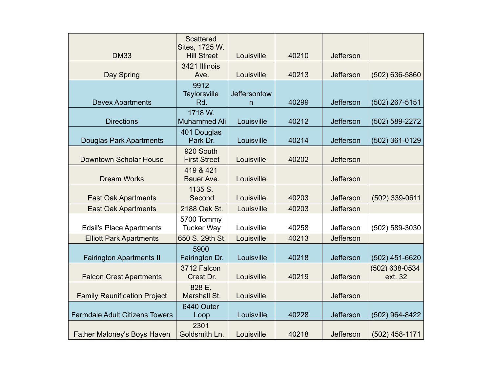| <b>DM33</b>                           | <b>Scattered</b><br>Sites, 1725 W.<br><b>Hill Street</b> | Louisville               | 40210 | Jefferson |                           |
|---------------------------------------|----------------------------------------------------------|--------------------------|-------|-----------|---------------------------|
| Day Spring                            | 3421 Illinois<br>Ave.                                    | Louisville               | 40213 | Jefferson | (502) 636-5860            |
| <b>Devex Apartments</b>               | 9912<br><b>Taylorsville</b><br>Rd.                       | <b>Jeffersontow</b><br>n | 40299 | Jefferson | (502) 267-5151            |
| <b>Directions</b>                     | 1718 W.<br><b>Muhammed Ali</b>                           | Louisville               | 40212 | Jefferson | (502) 589-2272            |
| <b>Douglas Park Apartments</b>        | 401 Douglas<br>Park Dr.                                  | Louisville               | 40214 | Jefferson | (502) 361-0129            |
| <b>Downtown Scholar House</b>         | 920 South<br><b>First Street</b>                         | Louisville               | 40202 | Jefferson |                           |
| <b>Dream Works</b>                    | 419 & 421<br>Bauer Ave.                                  | Louisville               |       | Jefferson |                           |
| <b>East Oak Apartments</b>            | 1135 S.<br>Second                                        | Louisville               | 40203 | Jefferson | (502) 339-0611            |
| <b>East Oak Apartments</b>            | 2188 Oak St.                                             | Louisville               | 40203 | Jefferson |                           |
| <b>Edsil's Place Apartments</b>       | 5700 Tommy<br><b>Tucker Way</b>                          | Louisville               | 40258 | Jefferson | (502) 589-3030            |
| <b>Elliott Park Apartments</b>        | 650 S. 29th St.                                          | Louisville               | 40213 | Jefferson |                           |
| <b>Fairington Apartments II</b>       | 5900<br>Fairington Dr.                                   | Louisville               | 40218 | Jefferson | (502) 451-6620            |
| <b>Falcon Crest Apartments</b>        | 3712 Falcon<br>Crest Dr.                                 | Louisville               | 40219 | Jefferson | (502) 638-0534<br>ext. 32 |
| <b>Family Reunification Project</b>   | 828 E.<br>Marshall St.                                   | Louisville               |       | Jefferson |                           |
| <b>Farmdale Adult Citizens Towers</b> | 6440 Outer<br>Loop                                       | Louisville               | 40228 | Jefferson | (502) 964-8422            |
| Father Maloney's Boys Haven           | 2301<br>Goldsmith Ln.                                    | Louisville               | 40218 | Jefferson | (502) 458-1171            |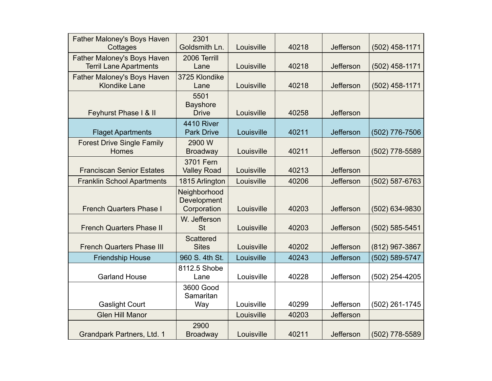| <b>Father Maloney's Boys Haven</b><br>Cottages               | 2301<br>Goldsmith Ln.                      | Louisville | 40218 | Jefferson        | $(502)$ 458-1171 |
|--------------------------------------------------------------|--------------------------------------------|------------|-------|------------------|------------------|
| Father Maloney's Boys Haven<br><b>Terril Lane Apartments</b> | 2006 Terrill<br>Lane                       | Louisville | 40218 | Jefferson        | (502) 458-1171   |
| Father Maloney's Boys Haven<br><b>Klondike Lane</b>          | 3725 Klondike<br>Lane                      | Louisville | 40218 | Jefferson        | $(502)$ 458-1171 |
| Feyhurst Phase I & II                                        | 5501<br><b>Bayshore</b><br><b>Drive</b>    | Louisville | 40258 | <b>Jefferson</b> |                  |
| <b>Flaget Apartments</b>                                     | <b>4410 River</b><br><b>Park Drive</b>     | Louisville | 40211 | Jefferson        | (502) 776-7506   |
| <b>Forest Drive Single Family</b><br><b>Homes</b>            | 2900 W<br><b>Broadway</b>                  | Louisville | 40211 | Jefferson        | (502) 778-5589   |
| <b>Franciscan Senior Estates</b>                             | 3701 Fern<br><b>Valley Road</b>            | Louisville | 40213 | Jefferson        |                  |
| <b>Franklin School Apartments</b>                            | 1815 Arlington                             | Louisville | 40206 | <b>Jefferson</b> | (502) 587-6763   |
| <b>French Quarters Phase I</b>                               | Neighborhood<br>Development<br>Corporation | Louisville | 40203 | Jefferson        | (502) 634-9830   |
| <b>French Quarters Phase II</b>                              | W. Jefferson<br><b>St</b>                  | Louisville | 40203 | Jefferson        | (502) 585-5451   |
| <b>French Quarters Phase III</b>                             | <b>Scattered</b><br><b>Sites</b>           | Louisville | 40202 | Jefferson        | (812) 967-3867   |
| <b>Friendship House</b>                                      | 960 S. 4th St.                             | Louisville | 40243 | Jefferson        | (502) 589-5747   |
| <b>Garland House</b>                                         | 8112.5 Shobe<br>Lane                       | Louisville | 40228 | Jefferson        | (502) 254-4205   |
| <b>Gaslight Court</b>                                        | 3600 Good<br>Samaritan<br>Way              | Louisville | 40299 | Jefferson        | (502) 261-1745   |
| <b>Glen Hill Manor</b>                                       |                                            | Louisville | 40203 | <b>Jefferson</b> |                  |
| Grandpark Partners, Ltd. 1                                   | 2900<br><b>Broadway</b>                    | Louisville | 40211 | Jefferson        | (502) 778-5589   |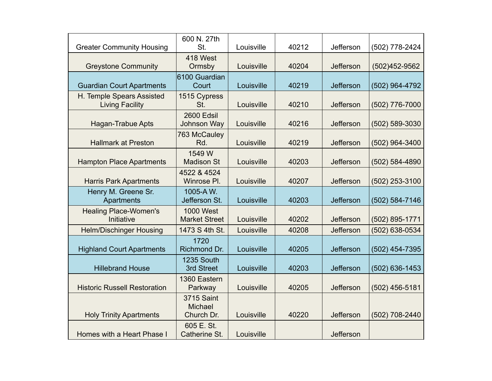| <b>Greater Community Housing</b>                    | 600 N. 27th<br>St.                                | Louisville | 40212 | Jefferson | (502) 778-2424     |
|-----------------------------------------------------|---------------------------------------------------|------------|-------|-----------|--------------------|
| <b>Greystone Community</b>                          | 418 West<br>Ormsby                                | Louisville | 40204 | Jefferson | (502)452-9562      |
| <b>Guardian Court Apartments</b>                    | 6100 Guardian<br>Court                            | Louisville | 40219 | Jefferson | (502) 964-4792     |
| H. Temple Spears Assisted<br><b>Living Facility</b> | 1515 Cypress<br>St.                               | Louisville | 40210 | Jefferson | (502) 776-7000     |
| <b>Hagan-Trabue Apts</b>                            | 2600 Edsil<br>Johnson Way                         | Louisville | 40216 | Jefferson | (502) 589-3030     |
| <b>Hallmark at Preston</b>                          | 763 McCauley<br>Rd.                               | Louisville | 40219 | Jefferson | (502) 964-3400     |
| <b>Hampton Place Apartments</b>                     | 1549 W<br><b>Madison St</b>                       | Louisville | 40203 | Jefferson | (502) 584-4890     |
| <b>Harris Park Apartments</b>                       | 4522 & 4524<br>Winrose PI.                        | Louisville | 40207 | Jefferson | (502) 253-3100     |
| Henry M. Greene Sr.<br><b>Apartments</b>            | 1005-AW.<br>Jefferson St.                         | Louisville | 40203 | Jefferson | (502) 584-7146     |
| <b>Healing Place-Women's</b><br>Initiative          | <b>1000 West</b><br><b>Market Street</b>          | Louisville | 40202 | Jefferson | (502) 895-1771     |
| <b>Helm/Dischinger Housing</b>                      | 1473 S 4th St.                                    | Louisville | 40208 | Jefferson | (502) 638-0534     |
| <b>Highland Court Apartments</b>                    | 1720<br>Richmond Dr.                              | Louisville | 40205 | Jefferson | (502) 454-7395     |
| <b>Hillebrand House</b>                             | 1235 South<br>3rd Street                          | Louisville | 40203 | Jefferson | $(502) 636 - 1453$ |
| <b>Historic Russell Restoration</b>                 | 1360 Eastern<br>Parkway                           | Louisville | 40205 | Jefferson | $(502)$ 456-5181   |
| <b>Holy Trinity Apartments</b>                      | <b>3715 Saint</b><br><b>Michael</b><br>Church Dr. | Louisville | 40220 | Jefferson | (502) 708-2440     |
| Homes with a Heart Phase I                          | 605 E. St.<br>Catherine St.                       | Louisville |       | Jefferson |                    |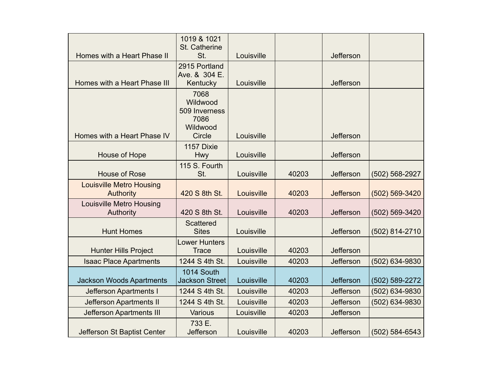|                                              | 1019 & 1021<br>St. Catherine                          |            |       |                  |                    |
|----------------------------------------------|-------------------------------------------------------|------------|-------|------------------|--------------------|
| Homes with a Heart Phase II                  | St.                                                   | Louisville |       | Jefferson        |                    |
| Homes with a Heart Phase III                 | 2915 Portland<br>Ave. & 304 E.<br>Kentucky            | Louisville |       | Jefferson        |                    |
|                                              | 7068<br>Wildwood<br>509 Inverness<br>7086<br>Wildwood |            |       |                  |                    |
| Homes with a Heart Phase IV                  | Circle                                                | Louisville |       | Jefferson        |                    |
| House of Hope                                | 1157 Dixie<br>Hwy                                     | Louisville |       | Jefferson        |                    |
| <b>House of Rose</b>                         | 115 S. Fourth<br>St.                                  | Louisville | 40203 | <b>Jefferson</b> | (502) 568-2927     |
| <b>Louisville Metro Housing</b><br>Authority | 420 S 8th St.                                         | Louisville | 40203 | <b>Jefferson</b> | (502) 569-3420     |
| <b>Louisville Metro Housing</b><br>Authority | 420 S 8th St.                                         | Louisville | 40203 | Jefferson        | (502) 569-3420     |
| <b>Hunt Homes</b>                            | <b>Scattered</b><br><b>Sites</b>                      | Louisville |       | <b>Jefferson</b> | (502) 814-2710     |
| <b>Hunter Hills Project</b>                  | <b>Lower Hunters</b><br><b>Trace</b>                  | Louisville | 40203 | Jefferson        |                    |
| <b>Isaac Place Apartments</b>                | 1244 S 4th St.                                        | Louisville | 40203 | <b>Jefferson</b> | (502) 634-9830     |
| Jackson Woods Apartments                     | 1014 South<br><b>Jackson Street</b>                   | Louisville | 40203 | <b>Jefferson</b> | (502) 589-2272     |
| <b>Jefferson Apartments I</b>                | 1244 S 4th St.                                        | Louisville | 40203 | Jefferson        | (502) 634-9830     |
| <b>Jefferson Apartments II</b>               | 1244 S 4th St.                                        | Louisville | 40203 | <b>Jefferson</b> | (502) 634-9830     |
| <b>Jefferson Apartments III</b>              | Various                                               | Louisville | 40203 | Jefferson        |                    |
| Jefferson St Baptist Center                  | 733 E.<br><b>Jefferson</b>                            | Louisville | 40203 | Jefferson        | $(502) 584 - 6543$ |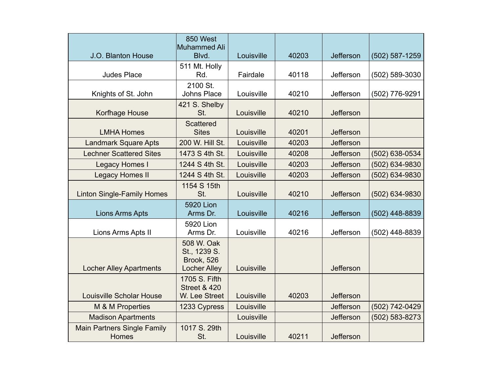|                                                    | 850 West<br>Muhammed Ali                                               |            |       |           |                |
|----------------------------------------------------|------------------------------------------------------------------------|------------|-------|-----------|----------------|
| J.O. Blanton House                                 | Blvd.                                                                  | Louisville | 40203 | Jefferson | (502) 587-1259 |
| <b>Judes Place</b>                                 | 511 Mt. Holly<br>Rd.                                                   | Fairdale   | 40118 | Jefferson | (502) 589-3030 |
| Knights of St. John                                | 2100 St.<br><b>Johns Place</b>                                         | Louisville | 40210 | Jefferson | (502) 776-9291 |
| Korfhage House                                     | 421 S. Shelby<br>St.                                                   | Louisville | 40210 | Jefferson |                |
| <b>LMHA Homes</b>                                  | <b>Scattered</b><br><b>Sites</b>                                       | Louisville | 40201 | Jefferson |                |
| <b>Landmark Square Apts</b>                        | 200 W. Hill St.                                                        | Louisville | 40203 | Jefferson |                |
| <b>Lechner Scattered Sites</b>                     | 1473 S 4th St.                                                         | Louisville | 40208 | Jefferson | (502) 638-0534 |
| Legacy Homes I                                     | 1244 S 4th St.                                                         | Louisville | 40203 | Jefferson | (502) 634-9830 |
| <b>Legacy Homes II</b>                             | 1244 S 4th St.                                                         | Louisville | 40203 | Jefferson | (502) 634-9830 |
| <b>Linton Single-Family Homes</b>                  | 1154 S 15th<br>St.                                                     | Louisville | 40210 | Jefferson | (502) 634-9830 |
| <b>Lions Arms Apts</b>                             | <b>5920 Lion</b><br>Arms Dr.                                           | Louisville | 40216 | Jefferson | (502) 448-8839 |
| Lions Arms Apts II                                 | 5920 Lion<br>Arms Dr.                                                  | Louisville | 40216 | Jefferson | (502) 448-8839 |
| <b>Locher Alley Apartments</b>                     | 508 W. Oak<br>St., 1239 S.<br><b>Brook, 526</b><br><b>Locher Alley</b> | Louisville |       | Jefferson |                |
| <b>Louisville Scholar House</b>                    | 1705 S. Fifth<br><b>Street &amp; 420</b><br>W. Lee Street              | Louisville | 40203 | Jefferson |                |
| M & M Properties                                   | 1233 Cypress                                                           | Louisville |       | Jefferson | (502) 742-0429 |
| <b>Madison Apartments</b>                          |                                                                        | Louisville |       | Jefferson | (502) 583-8273 |
| <b>Main Partners Single Family</b><br><b>Homes</b> | 1017 S. 29th<br>St.                                                    | Louisville | 40211 | Jefferson |                |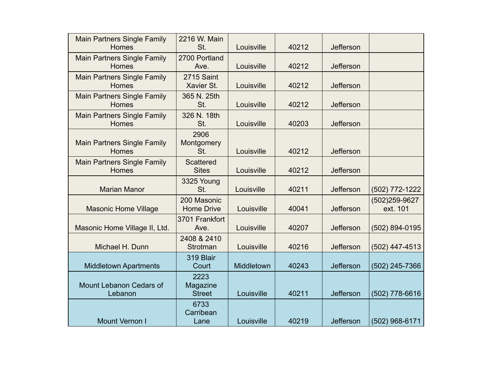| <b>Main Partners Single Family</b><br><b>Homes</b> | 2216 W. Main<br>St.               | Louisville | 40212 | <b>Jefferson</b> |                           |
|----------------------------------------------------|-----------------------------------|------------|-------|------------------|---------------------------|
| <b>Main Partners Single Family</b><br><b>Homes</b> | 2700 Portland<br>Ave.             | Louisville | 40212 | <b>Jefferson</b> |                           |
| <b>Main Partners Single Family</b><br><b>Homes</b> | 2715 Saint<br>Xavier St.          | Louisville | 40212 | <b>Jefferson</b> |                           |
| <b>Main Partners Single Family</b><br><b>Homes</b> | 365 N. 25th<br>St.                | Louisville | 40212 | <b>Jefferson</b> |                           |
| <b>Main Partners Single Family</b><br><b>Homes</b> | 326 N. 18th<br>St.                | Louisville | 40203 | <b>Jefferson</b> |                           |
| <b>Main Partners Single Family</b><br><b>Homes</b> | 2906<br>Montgomery<br>St.         | Louisville | 40212 | <b>Jefferson</b> |                           |
| <b>Main Partners Single Family</b><br><b>Homes</b> | <b>Scattered</b><br><b>Sites</b>  | Louisville | 40212 | <b>Jefferson</b> |                           |
| <b>Marian Manor</b>                                | 3325 Young<br>St.                 | Louisville | 40211 | <b>Jefferson</b> | (502) 772-1222            |
| <b>Masonic Home Village</b>                        | 200 Masonic<br><b>Home Drive</b>  | Louisville | 40041 | Jefferson        | (502)259-9627<br>ext. 101 |
| Masonic Home Village II, Ltd.                      | 3701 Frankfort<br>Ave.            | Louisville | 40207 | Jefferson        | (502) 894-0195            |
| Michael H. Dunn                                    | 2408 & 2410<br>Strotman           | Louisville | 40216 | <b>Jefferson</b> | (502) 447-4513            |
| <b>Middletown Apartments</b>                       | 319 Blair<br>Court                | Middletown | 40243 | Jefferson        | (502) 245-7366            |
| Mount Lebanon Cedars of<br>Lebanon                 | 2223<br>Magazine<br><b>Street</b> | Louisville | 40211 | <b>Jefferson</b> | (502) 778-6616            |
| <b>Mount Vernon I</b>                              | 6733<br>Carribean<br>Lane         | Louisville | 40219 | <b>Jefferson</b> | (502) 968-6171            |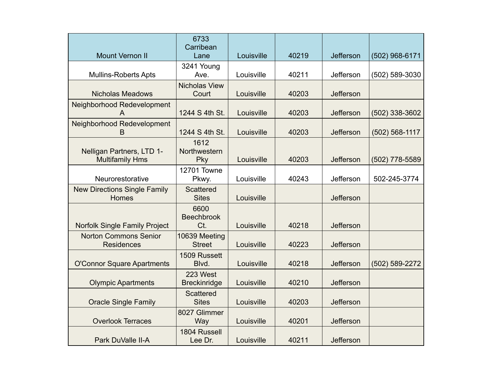|                                                     | 6733<br>Carribean                |            |       |                  |                |
|-----------------------------------------------------|----------------------------------|------------|-------|------------------|----------------|
| <b>Mount Vernon II</b>                              | Lane                             | Louisville | 40219 | Jefferson        | (502) 968-6171 |
| <b>Mullins-Roberts Apts</b>                         | 3241 Young<br>Ave.               | Louisville | 40211 | Jefferson        | (502) 589-3030 |
| <b>Nicholas Meadows</b>                             | <b>Nicholas View</b><br>Court    | Louisville | 40203 | Jefferson        |                |
| Neighborhood Redevelopment                          | 1244 S 4th St.                   | Louisville | 40203 | <b>Jefferson</b> | (502) 338-3602 |
| Neighborhood Redevelopment<br>B                     | 1244 S 4th St.                   | Louisville | 40203 | <b>Jefferson</b> | (502) 568-1117 |
| Nelligan Partners, LTD 1-<br><b>Multifamily Hms</b> | 1612<br>Northwestern<br>Pky      | Louisville | 40203 | Jefferson        | (502) 778-5589 |
| Neurorestorative                                    | <b>12701 Towne</b><br>Pkwy.      | Louisville | 40243 | Jefferson        | 502-245-3774   |
| <b>New Directions Single Family</b><br>Homes        | <b>Scattered</b><br><b>Sites</b> | Louisville |       | Jefferson        |                |
| Norfolk Single Family Project                       | 6600<br><b>Beechbrook</b><br>Ct. | Louisville | 40218 | Jefferson        |                |
| <b>Norton Commons Senior</b><br><b>Residences</b>   | 10639 Meeting<br><b>Street</b>   | Louisville | 40223 | Jefferson        |                |
| <b>O'Connor Square Apartments</b>                   | 1509 Russett<br>Blvd.            | Louisville | 40218 | Jefferson        | (502) 589-2272 |
| <b>Olympic Apartments</b>                           | 223 West<br><b>Breckinridge</b>  | Louisville | 40210 | Jefferson        |                |
| <b>Oracle Single Family</b>                         | <b>Scattered</b><br><b>Sites</b> | Louisville | 40203 | Jefferson        |                |
| <b>Overlook Terraces</b>                            | 8027 Glimmer<br>Way              | Louisville | 40201 | Jefferson        |                |
| Park DuValle II-A                                   | 1804 Russell<br>Lee Dr.          | Louisville | 40211 | Jefferson        |                |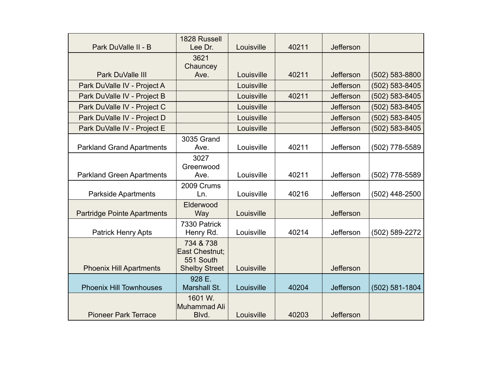| Park DuValle II - B                | 1828 Russell<br>Lee Dr.   | Louisville | 40211 | <b>Jefferson</b> |                    |
|------------------------------------|---------------------------|------------|-------|------------------|--------------------|
|                                    |                           |            |       |                  |                    |
|                                    | 3621<br>Chauncey          |            |       |                  |                    |
| Park DuValle III                   | Ave.                      | Louisville | 40211 | Jefferson        | (502) 583-8800     |
| Park DuValle IV - Project A        |                           | Louisville |       | Jefferson        | (502) 583-8405     |
| Park DuValle IV - Project B        |                           | Louisville | 40211 | Jefferson        | (502) 583-8405     |
| Park DuValle IV - Project C        |                           | Louisville |       | Jefferson        | (502) 583-8405     |
| Park DuValle IV - Project D        |                           | Louisville |       | <b>Jefferson</b> | (502) 583-8405     |
| Park DuValle IV - Project E        |                           | Louisville |       | Jefferson        | (502) 583-8405     |
|                                    | 3035 Grand                |            |       |                  |                    |
| <b>Parkland Grand Apartments</b>   | Ave.                      | Louisville | 40211 | Jefferson        | (502) 778-5589     |
|                                    | 3027                      |            |       |                  |                    |
|                                    | Greenwood                 |            |       |                  |                    |
| <b>Parkland Green Apartments</b>   | Ave.                      | Louisville | 40211 | Jefferson        | (502) 778-5589     |
|                                    | 2009 Crums                |            |       |                  |                    |
| <b>Parkside Apartments</b>         | Ln.                       | Louisville | 40216 | Jefferson        | (502) 448-2500     |
|                                    | Elderwood                 |            |       |                  |                    |
| <b>Partridge Pointe Apartments</b> | Way                       | Louisville |       | Jefferson        |                    |
| <b>Patrick Henry Apts</b>          | 7330 Patrick<br>Henry Rd. | Louisville | 40214 | Jefferson        | (502) 589-2272     |
|                                    | 734 & 738                 |            |       |                  |                    |
|                                    | East Chestnut;            |            |       |                  |                    |
|                                    | 551 South                 |            |       |                  |                    |
| <b>Phoenix Hill Apartments</b>     | <b>Shelby Street</b>      | Louisville |       | Jefferson        |                    |
|                                    | 928 E.                    |            |       |                  |                    |
| <b>Phoenix Hill Townhouses</b>     | Marshall St.              | Louisville | 40204 | Jefferson        | $(502) 581 - 1804$ |
|                                    | 1601 W.                   |            |       |                  |                    |
|                                    | Muhammad Ali              |            |       |                  |                    |
| <b>Pioneer Park Terrace</b>        | Blvd.                     | Louisville | 40203 | Jefferson        |                    |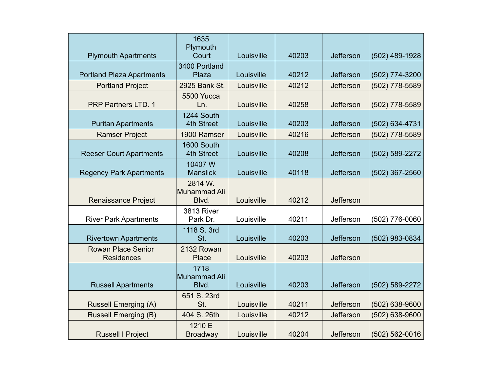| <b>Plymouth Apartments</b>                     | 1635<br>Plymouth<br>Court        | Louisville | 40203 | Jefferson | (502) 489-1928     |
|------------------------------------------------|----------------------------------|------------|-------|-----------|--------------------|
|                                                | 3400 Portland                    |            |       |           |                    |
| <b>Portland Plaza Apartments</b>               | Plaza                            | Louisville | 40212 | Jefferson | (502) 774-3200     |
| <b>Portland Project</b>                        | 2925 Bank St.                    | Louisville | 40212 | Jefferson | (502) 778-5589     |
| <b>PRP Partners LTD. 1</b>                     | 5500 Yucca<br>Ln.                | Louisville | 40258 | Jefferson | (502) 778-5589     |
| <b>Puritan Apartments</b>                      | 1244 South<br>4th Street         | Louisville | 40203 | Jefferson | (502) 634-4731     |
| <b>Ramser Project</b>                          | 1900 Ramser                      | Louisville | 40216 | Jefferson | (502) 778-5589     |
| <b>Reeser Court Apartments</b>                 | 1600 South<br>4th Street         | Louisville | 40208 | Jefferson | (502) 589-2272     |
| <b>Regency Park Apartments</b>                 | 10407 W<br><b>Manslick</b>       | Louisville | 40118 | Jefferson | (502) 367-2560     |
| <b>Renaissance Project</b>                     | 2814 W.<br>Muhammad Ali<br>Blvd. | Louisville | 40212 | Jefferson |                    |
| <b>River Park Apartments</b>                   | <b>3813 River</b><br>Park Dr.    | Louisville | 40211 | Jefferson | (502) 776-0060     |
| <b>Rivertown Apartments</b>                    | 1118 S. 3rd<br>St.               | Louisville | 40203 | Jefferson | (502) 983-0834     |
| <b>Rowan Place Senior</b><br><b>Residences</b> | 2132 Rowan<br>Place              | Louisville | 40203 | Jefferson |                    |
| <b>Russell Apartments</b>                      | 1718<br>Muhammad Ali<br>Blvd.    | Louisville | 40203 | Jefferson | (502) 589-2272     |
| <b>Russell Emerging (A)</b>                    | 651 S. 23rd<br>St.               | Louisville | 40211 | Jefferson | (502) 638-9600     |
| <b>Russell Emerging (B)</b>                    | 404 S. 26th                      | Louisville | 40212 | Jefferson | (502) 638-9600     |
| <b>Russell I Project</b>                       | 1210 E<br><b>Broadway</b>        | Louisville | 40204 | Jefferson | $(502) 562 - 0016$ |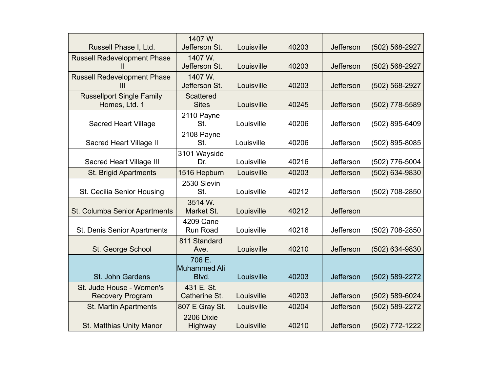| Russell Phase I, Ltd.                               | 1407 W<br>Jefferson St.                | Louisville | 40203 | Jefferson        | (502) 568-2927 |
|-----------------------------------------------------|----------------------------------------|------------|-------|------------------|----------------|
| <b>Russell Redevelopment Phase</b><br>Ш             | 1407 W.<br>Jefferson St.               | Louisville | 40203 | Jefferson        | (502) 568-2927 |
| <b>Russell Redevelopment Phase</b><br>Ш             | 1407 W.<br>Jefferson St.               | Louisville | 40203 | Jefferson        | (502) 568-2927 |
| <b>Russellport Single Family</b><br>Homes, Ltd. 1   | <b>Scattered</b><br><b>Sites</b>       | Louisville | 40245 | Jefferson        | (502) 778-5589 |
| <b>Sacred Heart Village</b>                         | 2110 Payne<br>St.                      | Louisville | 40206 | Jefferson        | (502) 895-6409 |
| Sacred Heart Village II                             | 2108 Payne<br>St.                      | Louisville | 40206 | Jefferson        | (502) 895-8085 |
| Sacred Heart Village III                            | 3101 Wayside<br>Dr.                    | Louisville | 40216 | Jefferson        | (502) 776-5004 |
| <b>St. Brigid Apartments</b>                        | 1516 Hepburn                           | Louisville | 40203 | <b>Jefferson</b> | (502) 634-9830 |
| St. Cecilia Senior Housing                          | 2530 Slevin<br>St.                     | Louisville | 40212 | Jefferson        | (502) 708-2850 |
| St. Columba Senior Apartments                       | 3514 W.<br>Market St.                  | Louisville | 40212 | Jefferson        |                |
| St. Denis Senior Apartments                         | 4209 Cane<br>Run Road                  | Louisville | 40216 | Jefferson        | (502) 708-2850 |
| St. George School                                   | 811 Standard<br>Ave.                   | Louisville | 40210 | Jefferson        | (502) 634-9830 |
| St. John Gardens                                    | 706 E.<br><b>Muhammed Ali</b><br>Blvd. | Louisville | 40203 | <b>Jefferson</b> | (502) 589-2272 |
| St. Jude House - Women's<br><b>Recovery Program</b> | 431 E. St.<br>Catherine St.            | Louisville | 40203 | Jefferson        | (502) 589-6024 |
| <b>St. Martin Apartments</b>                        | 807 E Gray St.                         | Louisville | 40204 | Jefferson        | (502) 589-2272 |
| <b>St. Matthias Unity Manor</b>                     | 2206 Dixie<br>Highway                  | Louisville | 40210 | Jefferson        | (502) 772-1222 |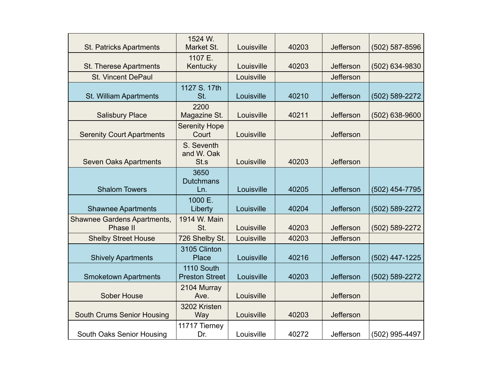| <b>St. Patricks Apartments</b>                 | 1524 W.<br>Market St.               | Louisville | 40203 | Jefferson | $(502)$ 587-8596 |
|------------------------------------------------|-------------------------------------|------------|-------|-----------|------------------|
| St. Therese Apartments                         | 1107 E.<br>Kentucky                 | Louisville | 40203 | Jefferson | (502) 634-9830   |
| <b>St. Vincent DePaul</b>                      |                                     | Louisville |       | Jefferson |                  |
| St. William Apartments                         | 1127 S. 17th<br>St.                 | Louisville | 40210 | Jefferson | (502) 589-2272   |
| <b>Salisbury Place</b>                         | 2200<br>Magazine St.                | Louisville | 40211 | Jefferson | (502) 638-9600   |
| <b>Serenity Court Apartments</b>               | <b>Serenity Hope</b><br>Court       | Louisville |       | Jefferson |                  |
| <b>Seven Oaks Apartments</b>                   | S. Seventh<br>and W. Oak<br>St.s    | Louisville | 40203 | Jefferson |                  |
| <b>Shalom Towers</b>                           | 3650<br><b>Dutchmans</b><br>Ln.     | Louisville | 40205 | Jefferson | (502) 454-7795   |
| <b>Shawnee Apartments</b>                      | 1000 E.<br>Liberty                  | Louisville | 40204 | Jefferson | (502) 589-2272   |
| <b>Shawnee Gardens Apartments,</b><br>Phase II | 1914 W. Main<br>St.                 | Louisville | 40203 | Jefferson | (502) 589-2272   |
| <b>Shelby Street House</b>                     | 726 Shelby St.                      | Louisville | 40203 | Jefferson |                  |
| <b>Shively Apartments</b>                      | 3105 Clinton<br>Place               | Louisville | 40216 | Jefferson | (502) 447-1225   |
| <b>Smoketown Apartments</b>                    | 1110 South<br><b>Preston Street</b> | Louisville | 40203 | Jefferson | (502) 589-2272   |
| <b>Sober House</b>                             | 2104 Murray<br>Ave.                 | Louisville |       | Jefferson |                  |
| <b>South Crums Senior Housing</b>              | 3202 Kristen<br>Way                 | Louisville | 40203 | Jefferson |                  |
| South Oaks Senior Housing                      | 11717 Tierney<br>Dr.                | Louisville | 40272 | Jefferson | (502) 995-4497   |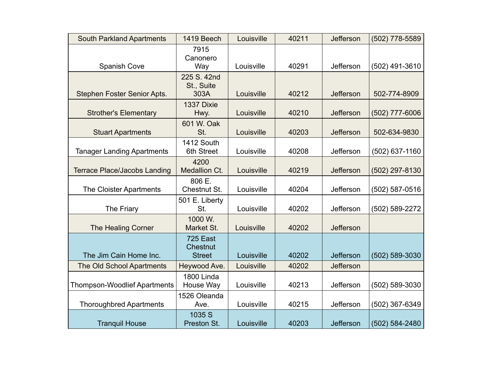| <b>South Parkland Apartments</b>    | 1419 Beech                            | Louisville | 40211 | <b>Jefferson</b> | (502) 778-5589 |
|-------------------------------------|---------------------------------------|------------|-------|------------------|----------------|
| <b>Spanish Cove</b>                 | 7915<br>Canonero<br>Way               | Louisville | 40291 | Jefferson        | (502) 491-3610 |
| Stephen Foster Senior Apts.         | 225 S. 42nd<br>St., Suite<br>303A     | Louisville | 40212 | Jefferson        | 502-774-8909   |
| <b>Strother's Elementary</b>        | 1337 Dixie<br>Hwy.                    | Louisville | 40210 | <b>Jefferson</b> | (502) 777-6006 |
| <b>Stuart Apartments</b>            | 601 W. Oak<br>St.                     | Louisville | 40203 | <b>Jefferson</b> | 502-634-9830   |
| <b>Tanager Landing Apartments</b>   | 1412 South<br>6th Street              | Louisville | 40208 | Jefferson        | (502) 637-1160 |
| <b>Terrace Place/Jacobs Landing</b> | 4200<br>Medallion Ct.                 | Louisville | 40219 | Jefferson        | (502) 297-8130 |
| The Cloister Apartments             | 806 E.<br>Chestnut St.                | Louisville | 40204 | Jefferson        | (502) 587-0516 |
| The Friary                          | 501 E. Liberty<br>St.                 | Louisville | 40202 | Jefferson        | (502) 589-2272 |
| The Healing Corner                  | 1000 W.<br>Market St.                 | Louisville | 40202 | Jefferson        |                |
| The Jim Cain Home Inc.              | 725 East<br>Chestnut<br><b>Street</b> | Louisville | 40202 | <b>Jefferson</b> | (502) 589-3030 |
| The Old School Apartments           | Heywood Ave.                          | Louisville | 40202 | <b>Jefferson</b> |                |
| <b>Thompson-Woodlief Apartments</b> | <b>1800 Linda</b><br>House Way        | Louisville | 40213 | Jefferson        | (502) 589-3030 |
| <b>Thoroughbred Apartments</b>      | 1526 Oleanda<br>Ave.                  | Louisville | 40215 | Jefferson        | (502) 367-6349 |
| <b>Tranquil House</b>               | 1035 S<br>Preston St.                 | Louisville | 40203 | <b>Jefferson</b> | (502) 584-2480 |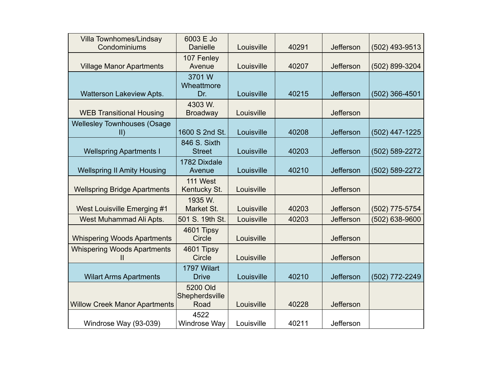| Villa Townhomes/Lindsay<br>Condominiums             | 6003 E Jo<br><b>Danielle</b>       | Louisville | 40291 | Jefferson        | $(502)$ 493-9513 |
|-----------------------------------------------------|------------------------------------|------------|-------|------------------|------------------|
| <b>Village Manor Apartments</b>                     | 107 Fenley<br>Avenue               | Louisville | 40207 | Jefferson        | (502) 899-3204   |
| Watterson Lakeview Apts.                            | 3701 W<br>Wheattmore<br>Dr.        | Louisville | 40215 | <b>Jefferson</b> | $(502)$ 366-4501 |
| <b>WEB Transitional Housing</b>                     | 4303 W.<br><b>Broadway</b>         | Louisville |       | Jefferson        |                  |
| <b>Wellesley Townhouses (Osage</b><br>$\parallel$ ) | 1600 S 2nd St.                     | Louisville | 40208 | <b>Jefferson</b> | (502) 447-1225   |
| <b>Wellspring Apartments I</b>                      | 846 S. Sixth<br><b>Street</b>      | Louisville | 40203 | Jefferson        | (502) 589-2272   |
| <b>Wellspring II Amity Housing</b>                  | 1782 Dixdale<br>Avenue             | Louisville | 40210 | <b>Jefferson</b> | (502) 589-2272   |
| <b>Wellspring Bridge Apartments</b>                 | 111 West<br>Kentucky St.           | Louisville |       | Jefferson        |                  |
| West Louisville Emerging #1                         | 1935 W.<br>Market St.              | Louisville | 40203 | Jefferson        | (502) 775-5754   |
| West Muhammad Ali Apts.                             | 501 S. 19th St.                    | Louisville | 40203 | Jefferson        | (502) 638-9600   |
| <b>Whispering Woods Apartments</b>                  | 4601 Tipsy<br>Circle               | Louisville |       | <b>Jefferson</b> |                  |
| <b>Whispering Woods Apartments</b><br>Ш             | 4601 Tipsy<br><b>Circle</b>        | Louisville |       | Jefferson        |                  |
| <b>Wilart Arms Apartments</b>                       | 1797 Wilart<br><b>Drive</b>        | Louisville | 40210 | <b>Jefferson</b> | (502) 772-2249   |
| <b>Willow Creek Manor Apartments</b>                | 5200 Old<br>Shepherdsville<br>Road | Louisville | 40228 | Jefferson        |                  |
| Windrose Way (93-039)                               | 4522<br>Windrose Way               | Louisville | 40211 | Jefferson        |                  |